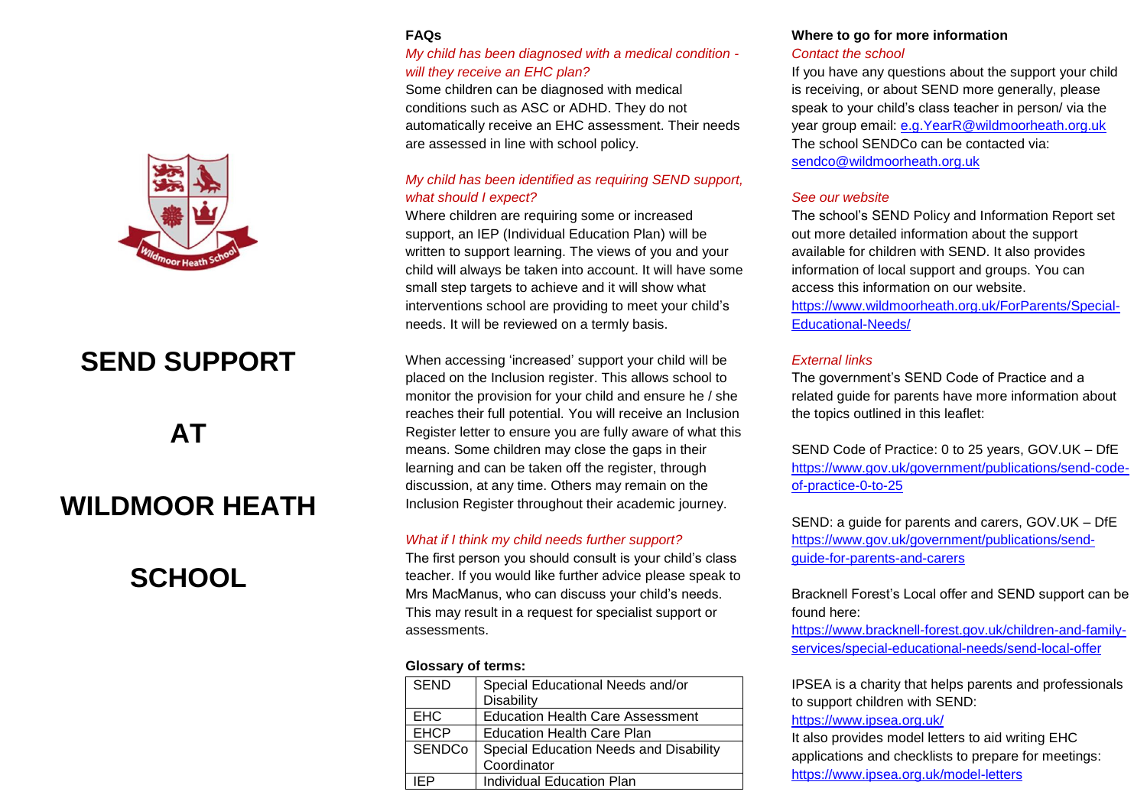#### **FAQs**

# *My child has been diagnosed with a medical condition will they receive an EHC plan?*

Some children can be diagnosed with medical conditions such as ASC or ADHD. They do not automatically receive an EHC assessment. Their needs are assessed in line with school policy.

## *My child has been identified as requiring SEND support, what should I expect?*

Where children are requiring some or increased support, an IEP (Individual Education Plan) will be written to support learning. The views of you and your child will always be taken into account. It will have some small step targets to achieve and it will show what interventions school are providing to meet your child's needs. It will be reviewed on a termly basis.

When accessing 'increased' support your child will be placed on the Inclusion register. This allows school to monitor the provision for your child and ensure he / she reaches their full potential. You will receive an Inclusion Register letter to ensure you are fully aware of what this means. Some children may close the gaps in their learning and can be taken off the register, through discussion, at any time. Others may remain on the Inclusion Register throughout their academic journey.

#### *What if I think my child needs further support?*

The first person you should consult is your child's class teacher. If you would like further advice please speak to Mrs MacManus, who can discuss your child's needs. This may result in a request for specialist support or assessments.

#### **Glossary of terms:**

| <b>SEND</b>   | Special Educational Needs and/or<br>Disability |  |  |
|---------------|------------------------------------------------|--|--|
| <b>EHC</b>    | <b>Education Health Care Assessment</b>        |  |  |
| <b>EHCP</b>   | <b>Education Health Care Plan</b>              |  |  |
| <b>SENDCo</b> | Special Education Needs and Disability         |  |  |
|               | Coordinator                                    |  |  |
| ЕD            | Individual Education Plan                      |  |  |

# **Where to go for more information**

*Contact the school*

If you have any questions about the support your child is receiving, or about SEND more generally, please speak to your child's class teacher in person/ via the year group email: [e.g.YearR@wildmoorheath.org.uk](mailto:e.g.YearR@wildmoorheath.org.uk) The school SENDCo can be contacted via: [sendco@wildmoorheath.org.uk](mailto:sendco@wildmoorheath.org.uk)

### *See our website*

The school's SEND Policy and Information Report set out more detailed information about the support available for children with SEND. It also provides information of local support and groups. You can access this information on our website. [https://www.wildmoorheath.org.uk/ForParents/Special-](https://www.wildmoorheath.org.uk/ForParents/Special-Educational-Needs/)[Educational-Needs/](https://www.wildmoorheath.org.uk/ForParents/Special-Educational-Needs/)

### *External links*

The government's SEND Code of Practice and a related guide for parents have more information about the topics outlined in this leaflet:

SEND Code of Practice: 0 to 25 years, GOV.UK – DfE [https://www.gov.uk/government/publications/send-code](https://www.gov.uk/government/publications/send-code-of-practice-0-to-25)[of-practice-0-to-25](https://www.gov.uk/government/publications/send-code-of-practice-0-to-25)

SEND: a guide for parents and carers, GOV.UK – DfE [https://www.gov.uk/government/publications/send](https://www.gov.uk/government/publications/send-guide-for-parents-and-carers)[guide-for-parents-and-carers](https://www.gov.uk/government/publications/send-guide-for-parents-and-carers)

Bracknell Forest's Local offer and SEND support can be found here:

[https://www.bracknell-forest.gov.uk/children-and-family](https://www.bracknell-forest.gov.uk/children-and-family-services/special-educational-needs/send-local-offer)[services/special-educational-needs/send-local-offer](https://www.bracknell-forest.gov.uk/children-and-family-services/special-educational-needs/send-local-offer)

IPSEA is a charity that helps parents and professionals to support children with SEND:

#### <https://www.ipsea.org.uk/>

It also provides model letters to aid writing EHC applications and checklists to prepare for meetings: <https://www.ipsea.org.uk/model-letters>



# **SEND SUPPORT**

# **AT**

# **WILDMOOR HEATH**

# **SCHOOL**